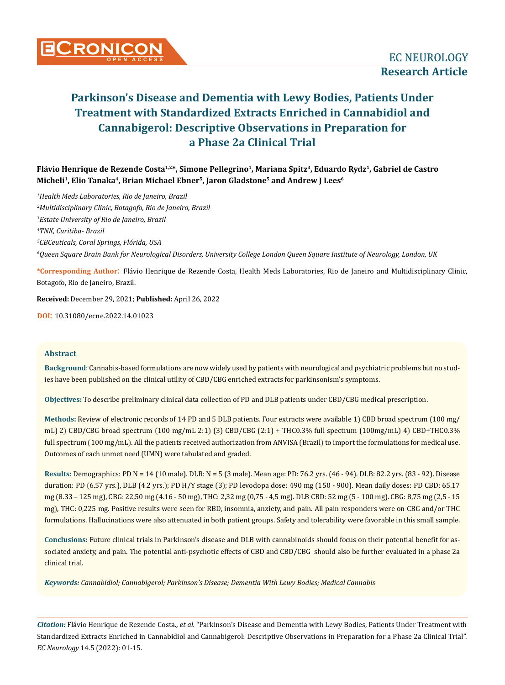

**Flávio Henrique de Rezende Costa1,2\*, Simone Pellegrino1, Mariana Spitz3, Eduardo Rydz1, Gabriel de Castro**  Micheli<sup>1</sup>, Elio Tanaka<sup>4</sup>, Brian Michael Ebner<sup>5</sup>, Jaron Gladstone<sup>5</sup> and Andrew J Lees<sup>6</sup>

 *Health Meds Laboratories, Rio de Janeiro, Brazil Multidisciplinary Clinic, Botagofo, Rio de Janeiro, Brazil Estate University of Rio de Janeiro, Brazil TNK, Curitiba- Brazil CBCeuticals, Coral Springs, Flórida, USA Queen Square Brain Bank for Neurological Disorders, University College London Queen Square Institute of Neurology, London, UK*

**\*Corresponding Author**: Flávio Henrique de Rezende Costa, Health Meds Laboratories, Rio de Janeiro and Multidisciplinary Clinic, Botagofo, Rio de Janeiro, Brazil.

**Received:** December 29, 2021; **Published:** April 26, 2022

**DOI**: 10.31080/ecne.2022.14.01023

#### **Abstract**

**Background**: Cannabis-based formulations are now widely used by patients with neurological and psychiatric problems but no studies have been published on the clinical utility of CBD/CBG enriched extracts for parkinsonism's symptoms.

**Objectives:** To describe preliminary clinical data collection of PD and DLB patients under CBD/CBG medical prescription.

**Methods:** Review of electronic records of 14 PD and 5 DLB patients. Four extracts were available 1) CBD broad spectrum (100 mg/ mL) 2) CBD/CBG broad spectrum (100 mg/mL 2:1) (3) CBD/CBG (2:1) + THC0.3% full spectrum (100mg/mL) 4) CBD+THC0.3% full spectrum (100 mg/mL). All the patients received authorization from ANVISA (Brazil) to import the formulations for medical use. Outcomes of each unmet need (UMN) were tabulated and graded.

**Results:** Demographics: PD N = 14 (10 male). DLB: N = 5 (3 male). Mean age: PD: 76.2 yrs. (46 - 94). DLB: 82.2 yrs. (83 - 92). Disease duration: PD (6.57 yrs.), DLB (4.2 yrs.); PD H/Y stage (3); PD levodopa dose: 490 mg (150 - 900). Mean daily doses: PD CBD: 65.17 mg (8.33 – 125 mg), CBG: 22,50 mg (4.16 - 50 mg), THC: 2,32 mg (0,75 - 4,5 mg). DLB CBD: 52 mg (5 - 100 mg). CBG: 8,75 mg (2,5 - 15 mg), THC: 0,225 mg. Positive results were seen for RBD, insomnia, anxiety, and pain. All pain responders were on CBG and/or THC formulations. Hallucinations were also attenuated in both patient groups. Safety and tolerability were favorable in this small sample.

**Conclusions:** Future clinical trials in Parkinson's disease and DLB with cannabinoids should focus on their potential benefit for associated anxiety, and pain. The potential anti-psychotic effects of CBD and CBD/CBG should also be further evaluated in a phase 2a clinical trial.

*Keywords: Cannabidiol; Cannabigerol; Parkinson's Disease; Dementia With Lewy Bodies; Medical Cannabis* 

*Citation:* Flávio Henrique de Rezende Costa*., et al.* "Parkinson's Disease and Dementia with Lewy Bodies, Patients Under Treatment with Standardized Extracts Enriched in Cannabidiol and Cannabigerol: Descriptive Observations in Preparation for a Phase 2a Clinical Trial". *EC Neurology* 14.5 (2022): 01-15.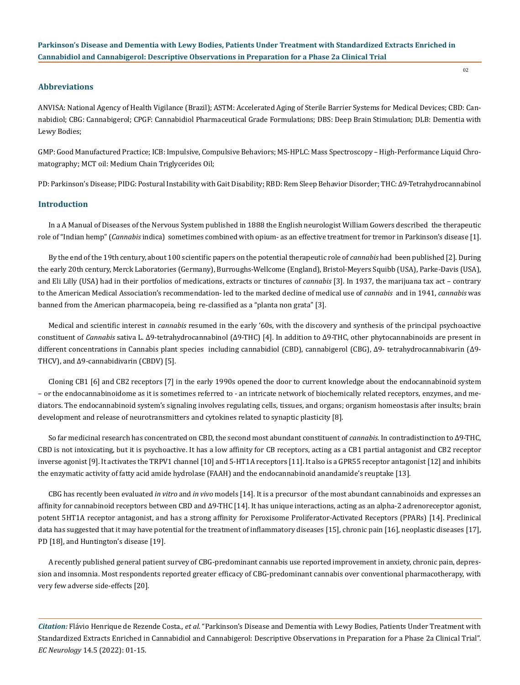# **Abbreviations**

ANVISA: National Agency of Health Vigilance (Brazil); ASTM: Accelerated Aging of Sterile Barrier Systems for Medical Devices; CBD: Cannabidiol; CBG: Cannabigerol; CPGF: Cannabidiol Pharmaceutical Grade Formulations; DBS: Deep Brain Stimulation; DLB: Dementia with Lewy Bodies;

GMP: Good Manufactured Practice; ICB: Impulsive, Compulsive Behaviors; MS-HPLC: Mass Spectroscopy – High-Performance Liquid Chromatography; MCT oil: Medium Chain Triglycerides Oil;

PD: Parkinson's Disease; PIDG: Postural Instability with Gait Disability; RBD: Rem Sleep Behavior Disorder; THC: Δ9-Tetrahydrocannabinol

#### **Introduction**

In a A Manual of Diseases of the Nervous System published in 1888 the English neurologist William Gowers described the therapeutic role of "Indian hemp" (*Cannabis* indica) sometimes combined with opium- as an effective treatment for tremor in Parkinson's disease [1].

By the end of the 19th century, about 100 scientific papers on the potential therapeutic role of *cannabis* had been published [2]. During the early 20th century, Merck Laboratories (Germany), Burroughs-Wellcome (England), Bristol-Meyers Squibb (USA), Parke-Davis (USA), and Eli Lilly (USA) had in their portfolios of medications, extracts or tinctures of *cannabis* [3]. In 1937, the marijuana tax act – contrary to the American Medical Association's recommendation- led to the marked decline of medical use of *cannabis* and in 1941, *cannabis* was banned from the American pharmacopeia, being re-classified as a "planta non grata" [3].

Medical and scientific interest in *cannabis* resumed in the early '60s, with the discovery and synthesis of the principal psychoactive constituent of *Cannabis* sativa L. Δ9-tetrahydrocannabinol (Δ9-THC) [4]. In addition to Δ9-THC, other phytocannabinoids are present in different concentrations in Cannabis plant species including cannabidiol (CBD), cannabigerol (CBG), Δ9- tetrahydrocannabivarin (Δ9- THCV), and Δ9-cannabidivarin (CBDV) [5].

Cloning CB1 [6] and CB2 receptors [7] in the early 1990s opened the door to current knowledge about the endocannabinoid system – or the endocannabinoidome as it is sometimes referred to - an intricate network of biochemically related receptors, enzymes, and mediators. The endocannabinoid system's signaling involves regulating cells, tissues, and organs; organism homeostasis after insults; brain development and release of neurotransmitters and cytokines related to synaptic plasticity [8].

So far medicinal research has concentrated on CBD, the second most abundant constituent of *cannabis*. In contradistinction to Δ9-THC, CBD is not intoxicating, but it is psychoactive. It has a low affinity for CB receptors, acting as a CB1 partial antagonist and CB2 receptor inverse agonist [9]. It activates the TRPV1 channel [10] and 5-HT1A receptors [11]. It also is a GPR55 receptor antagonist [12] and inhibits the enzymatic activity of fatty acid amide hydrolase (FAAH) and the endocannabinoid anandamide's reuptake [13].

CBG has recently been evaluated *in vitro* and *in vivo* models [14]. It is a precursor of the most abundant cannabinoids and expresses an affinity for cannabinoid receptors between CBD and Δ9-THC [14]. It has unique interactions, acting as an alpha-2 adrenoreceptor agonist, potent 5HT1A receptor antagonist, and has a strong affinity for Peroxisome Proliferator-Activated Receptors (PPARs) [14]. Preclinical data has suggested that it may have potential for the treatment of inflammatory diseases [15], chronic pain [16], neoplastic diseases [17], PD [18], and Huntington's disease [19].

A recently published general patient survey of CBG-predominant cannabis use reported improvement in anxiety, chronic pain, depression and insomnia. Most respondents reported greater efficacy of CBG-predominant cannabis over conventional pharmacotherapy, with very few adverse side-effects [20].

*Citation:* Flávio Henrique de Rezende Costa*., et al.* "Parkinson's Disease and Dementia with Lewy Bodies, Patients Under Treatment with Standardized Extracts Enriched in Cannabidiol and Cannabigerol: Descriptive Observations in Preparation for a Phase 2a Clinical Trial". *EC Neurology* 14.5 (2022): 01-15.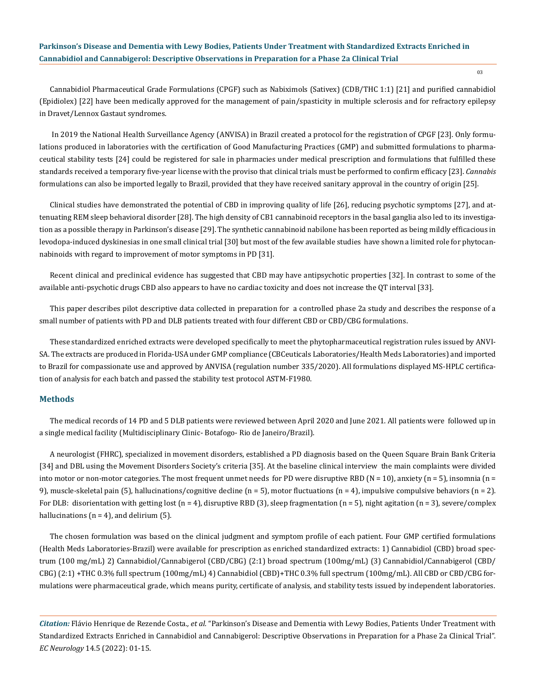Cannabidiol Pharmaceutical Grade Formulations (CPGF) such as Nabiximols (Sativex) (CDB/THC 1:1) [21] and purified cannabidiol (Epidiolex) [22] have been medically approved for the management of pain/spasticity in multiple sclerosis and for refractory epilepsy in Dravet/Lennox Gastaut syndromes.

 In 2019 the National Health Surveillance Agency (ANVISA) in Brazil created a protocol for the registration of CPGF [23]. Only formulations produced in laboratories with the certification of Good Manufacturing Practices (GMP) and submitted formulations to pharmaceutical stability tests [24] could be registered for sale in pharmacies under medical prescription and formulations that fulfilled these standards received a temporary five-year license with the proviso that clinical trials must be performed to confirm efficacy [23]. *Cannabis* formulations can also be imported legally to Brazil, provided that they have received sanitary approval in the country of origin [25].

Clinical studies have demonstrated the potential of CBD in improving quality of life [26], reducing psychotic symptoms [27], and attenuating REM sleep behavioral disorder [28]. The high density of CB1 cannabinoid receptors in the basal ganglia also led to its investigation as a possible therapy in Parkinson's disease [29]. The synthetic cannabinoid nabilone has been reported as being mildly efficacious in levodopa-induced dyskinesias in one small clinical trial [30] but most of the few available studies have shown a limited role for phytocannabinoids with regard to improvement of motor symptoms in PD [31].

Recent clinical and preclinical evidence has suggested that CBD may have antipsychotic properties [32]. In contrast to some of the available anti-psychotic drugs CBD also appears to have no cardiac toxicity and does not increase the QT interval [33].

This paper describes pilot descriptive data collected in preparation for a controlled phase 2a study and describes the response of a small number of patients with PD and DLB patients treated with four different CBD or CBD/CBG formulations.

These standardized enriched extracts were developed specifically to meet the phytopharmaceutical registration rules issued by ANVI-SA. The extracts are produced in Florida-USA under GMP compliance (CBCeuticals Laboratories/Health Meds Laboratories) and imported to Brazil for compassionate use and approved by ANVISA (regulation number 335/2020). All formulations displayed MS-HPLC certification of analysis for each batch and passed the stability test protocol ASTM-F1980.

#### **Methods**

The medical records of 14 PD and 5 DLB patients were reviewed between April 2020 and June 2021. All patients were followed up in a single medical facility (Multidisciplinary Clinic- Botafogo- Rio de Janeiro/Brazil).

A neurologist (FHRC), specialized in movement disorders, established a PD diagnosis based on the Queen Square Brain Bank Criteria [34] and DBL using the Movement Disorders Society's criteria [35]. At the baseline clinical interview the main complaints were divided into motor or non-motor categories. The most frequent unmet needs for PD were disruptive RBD ( $N = 10$ ), anxiety ( $n = 5$ ), insomnia ( $n = 10$ 9), muscle-skeletal pain (5), hallucinations/cognitive decline (n = 5), motor fluctuations (n = 4), impulsive compulsive behaviors (n = 2). For DLB: disorientation with getting lost (n = 4), disruptive RBD (3), sleep fragmentation (n = 5), night agitation (n = 3), severe/complex hallucinations ( $n = 4$ ), and delirium (5).

The chosen formulation was based on the clinical judgment and symptom profile of each patient. Four GMP certified formulations (Health Meds Laboratories-Brazil) were available for prescription as enriched standardized extracts: 1) Cannabidiol (CBD) broad spectrum (100 mg/mL) 2) Cannabidiol/Cannabigerol (CBD/CBG) (2:1) broad spectrum (100mg/mL) (3) Cannabidiol/Cannabigerol (CBD/ CBG) (2:1) +THC 0.3% full spectrum (100mg/mL) 4) Cannabidiol (CBD)+THC 0.3% full spectrum (100mg/mL). All CBD or CBD/CBG formulations were pharmaceutical grade, which means purity, certificate of analysis, and stability tests issued by independent laboratories.

*Citation:* Flávio Henrique de Rezende Costa*., et al.* "Parkinson's Disease and Dementia with Lewy Bodies, Patients Under Treatment with Standardized Extracts Enriched in Cannabidiol and Cannabigerol: Descriptive Observations in Preparation for a Phase 2a Clinical Trial". *EC Neurology* 14.5 (2022): 01-15.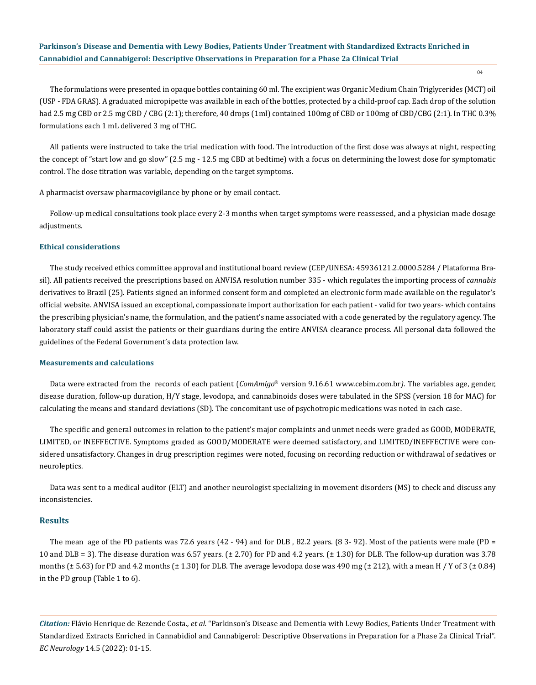04

The formulations were presented in opaque bottles containing 60 ml. The excipient was Organic Medium Chain Triglycerides (MCT) oil (USP - FDA GRAS). A graduated micropipette was available in each of the bottles, protected by a child-proof cap. Each drop of the solution had 2.5 mg CBD or 2.5 mg CBD / CBG (2:1); therefore, 40 drops (1ml) contained 100mg of CBD or 100mg of CBD/CBG (2:1). In THC 0.3% formulations each 1 mL delivered 3 mg of THC.

All patients were instructed to take the trial medication with food. The introduction of the first dose was always at night, respecting the concept of "start low and go slow" (2.5 mg - 12.5 mg CBD at bedtime) with a focus on determining the lowest dose for symptomatic control. The dose titration was variable, depending on the target symptoms.

A pharmacist oversaw pharmacovigilance by phone or by email contact.

Follow-up medical consultations took place every 2-3 months when target symptoms were reassessed, and a physician made dosage adjustments.

## **Ethical considerations**

The study received ethics committee approval and institutional board review (CEP/UNESA: 45936121.2.0000.5284 / Plataforma Brasil). All patients received the prescriptions based on ANVISA resolution number 335 - which regulates the importing process of *cannabis* derivatives to Brazil (25). Patients signed an informed consent form and completed an electronic form made available on the regulator's official website. ANVISA issued an exceptional, compassionate import authorization for each patient - valid for two years- which contains the prescribing physician's name, the formulation, and the patient's name associated with a code generated by the regulatory agency. The laboratory staff could assist the patients or their guardians during the entire ANVISA clearance process. All personal data followed the guidelines of the Federal Government's data protection law.

#### **Measurements and calculations**

Data were extracted from the records of each patient (*ComAmigo*® version 9.16.61 www.cebim.com.br*)*. The variables age, gender, disease duration, follow-up duration, H/Y stage, levodopa, and cannabinoids doses were tabulated in the SPSS (version 18 for MAC) for calculating the means and standard deviations (SD). The concomitant use of psychotropic medications was noted in each case.

The specific and general outcomes in relation to the patient's major complaints and unmet needs were graded as GOOD, MODERATE, LIMITED, or INEFFECTIVE. Symptoms graded as GOOD/MODERATE were deemed satisfactory, and LIMITED/INEFFECTIVE were considered unsatisfactory. Changes in drug prescription regimes were noted, focusing on recording reduction or withdrawal of sedatives or neuroleptics.

Data was sent to a medical auditor (ELT) and another neurologist specializing in movement disorders (MS) to check and discuss any inconsistencies.

#### **Results**

The mean age of the PD patients was 72.6 years (42 - 94) and for DLB, 82.2 years. (8 3-92). Most of the patients were male (PD = 10 and DLB = 3). The disease duration was 6.57 years. (± 2.70) for PD and 4.2 years. (± 1.30) for DLB. The follow-up duration was 3.78 months ( $\pm$  5.63) for PD and 4.2 months ( $\pm$  1.30) for DLB. The average levodopa dose was 490 mg ( $\pm$  212), with a mean H / Y of 3 ( $\pm$  0.84) in the PD group (Table 1 to 6).

*Citation:* Flávio Henrique de Rezende Costa*., et al.* "Parkinson's Disease and Dementia with Lewy Bodies, Patients Under Treatment with Standardized Extracts Enriched in Cannabidiol and Cannabigerol: Descriptive Observations in Preparation for a Phase 2a Clinical Trial". *EC Neurology* 14.5 (2022): 01-15.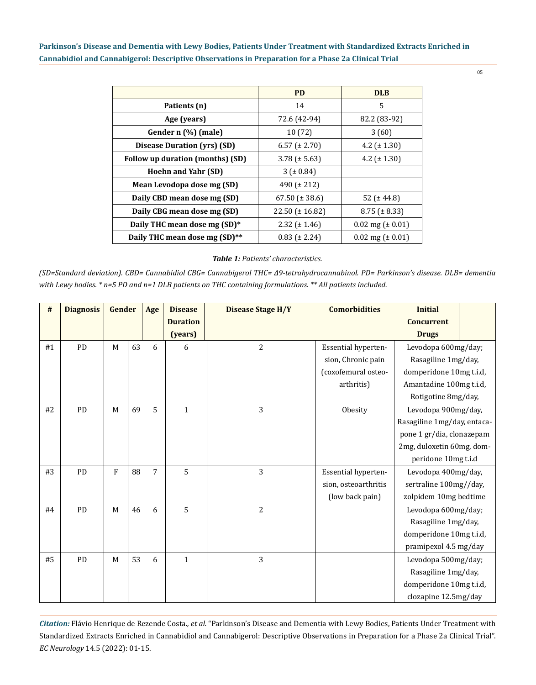|                                           | <b>PD</b>             | <b>DLB</b>                   |
|-------------------------------------------|-----------------------|------------------------------|
| Patients (n)                              | 14                    | 5                            |
| Age (years)                               | 72.6 (42-94)          | 82.2 (83-92)                 |
| Gender n (%) (male)                       | 10(72)                | 3(60)                        |
| <b>Disease Duration (yrs) (SD)</b>        | $6.57$ ( $\pm$ 2.70)  | 4.2 $(\pm 1.30)$             |
| Follow up duration (months) (SD)          | $3.78 (\pm 5.63)$     | 4.2 $(\pm 1.30)$             |
| <b>Hoehn and Yahr (SD)</b>                | $3 (+ 0.84)$          |                              |
| Mean Levodopa dose mg (SD)                | 490 ( $\pm$ 212)      |                              |
| Daily CBD mean dose mg (SD)               | 67.50 $(\pm 38.6)$    | 52 ( $\pm$ 44.8)             |
| Daily CBG mean dose mg (SD)               | $22.50 \ (\pm 16.82)$ | $8.75 (\pm 8.33)$            |
| Daily THC mean dose mg (SD)*              | $2.32$ ( $\pm$ 1.46)  | $0.02 \text{ mg} (\pm 0.01)$ |
| Daily THC mean dose mg (SD) <sup>**</sup> | $0.83$ ( $\pm$ 2.24)  | $0.02 \text{ mg} (\pm 0.01)$ |

# *Table 1: Patients' characteristics.*

*(SD=Standard deviation). CBD= Cannabidiol CBG= Cannabigerol THC= Δ9-tetrahydrocannabinol. PD= Parkinson's disease. DLB= dementia with Lewy bodies. \* n=5 PD and n=1 DLB patients on THC containing formulations. \*\* All patients included.* 

| #  | <b>Diagnosis</b><br>Gender |             |    |                | <b>Disease</b>  | <b>Disease Stage H/Y</b> | <b>Comorbidities</b> | <b>Initial</b>              |  |
|----|----------------------------|-------------|----|----------------|-----------------|--------------------------|----------------------|-----------------------------|--|
|    |                            |             |    |                | <b>Duration</b> |                          |                      | <b>Concurrent</b>           |  |
|    |                            |             |    |                | (years)         |                          |                      | <b>Drugs</b>                |  |
| #1 | PD                         | $\mathbf M$ | 63 | 6              | 6               | $\overline{2}$           | Essential hyperten-  | Levodopa 600mg/day;         |  |
|    |                            |             |    |                |                 |                          | sion, Chronic pain   | Rasagiline 1mg/day,         |  |
|    |                            |             |    |                |                 |                          | (coxofemural osteo-  | domperidone 10mg t.i.d,     |  |
|    |                            |             |    |                |                 |                          | arthritis)           | Amantadine 100mg t.i.d,     |  |
|    |                            |             |    |                |                 |                          |                      | Rotigotine 8mg/day,         |  |
| #2 | <b>PD</b>                  | M           | 69 | 5              | $\mathbf{1}$    | 3                        | Obesity              | Levodopa 900mg/day,         |  |
|    |                            |             |    |                |                 |                          |                      | Rasagiline 1mg/day, entaca- |  |
|    |                            |             |    |                |                 |                          |                      | pone 1 gr/dia, clonazepam   |  |
|    |                            |             |    |                |                 |                          |                      | 2mg, duloxetin 60mg, dom-   |  |
|    |                            |             |    |                |                 |                          |                      | peridone 10mg t.i.d         |  |
| #3 | PD                         | ${\bf F}$   | 88 | $\overline{7}$ | 5               | 3                        | Essential hyperten-  | Levodopa 400mg/day,         |  |
|    |                            |             |    |                |                 |                          | sion, osteoarthritis | sertraline 100mg//day,      |  |
|    |                            |             |    |                |                 |                          | (low back pain)      | zolpidem 10mg bedtime       |  |
| #4 | PD                         | M           | 46 | 6              | 5               | 2                        |                      | Levodopa 600mg/day;         |  |
|    |                            |             |    |                |                 |                          |                      | Rasagiline 1mg/day,         |  |
|    |                            |             |    |                |                 |                          |                      | domperidone 10mg t.i.d,     |  |
|    |                            |             |    |                |                 |                          |                      | pramipexol 4.5 mg/day       |  |
| #5 | PD                         | M           | 53 | 6              | $\mathbf{1}$    | 3                        |                      | Levodopa 500mg/day;         |  |
|    |                            |             |    |                |                 |                          |                      | Rasagiline 1mg/day,         |  |
|    |                            |             |    |                |                 |                          |                      | domperidone 10mg t.i.d,     |  |
|    |                            |             |    |                |                 |                          |                      | clozapine 12.5mg/day        |  |

*Citation:* Flávio Henrique de Rezende Costa*., et al.* "Parkinson's Disease and Dementia with Lewy Bodies, Patients Under Treatment with Standardized Extracts Enriched in Cannabidiol and Cannabigerol: Descriptive Observations in Preparation for a Phase 2a Clinical Trial". *EC Neurology* 14.5 (2022): 01-15.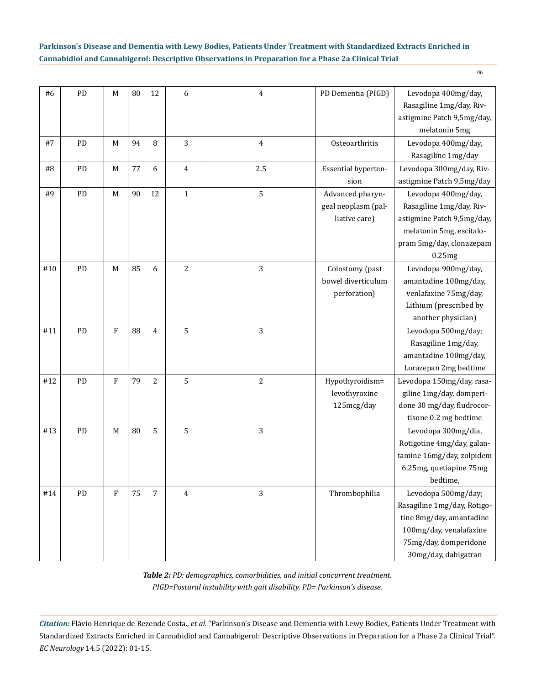| #6  | PD | M           | 80 | 12             | 6              | $\overline{4}$ | PD Dementia (PIGD)                                       | Levodopa 400mg/day,<br>Rasagiline 1mg/day, Riv-<br>astigmine Patch 9,5mg/day,<br>melatonin 5mg                                                             |
|-----|----|-------------|----|----------------|----------------|----------------|----------------------------------------------------------|------------------------------------------------------------------------------------------------------------------------------------------------------------|
| #7  | PD | M           | 94 | 8              | 3              | $\overline{4}$ | Osteoarthritis                                           | Levodopa 400mg/day,<br>Rasagiline 1mg/day                                                                                                                  |
| #8  | PD | M           | 77 | 6              | 4              | 2.5            | Essential hyperten-<br>sion                              | Levodopa 300mg/day, Riv-<br>astigmine Patch 9,5mg/day                                                                                                      |
| #9  | PD | $\mathbf M$ | 90 | 12             | $\mathbf{1}$   | 5              | Advanced pharyn-<br>geal neoplasm (pal-<br>liative care) | Levodopa 400mg/day,<br>Rasagiline 1mg/day, Riv-<br>astigmine Patch 9,5mg/day,<br>melatonin 5mg, escitalo-<br>pram 5mg/day, clonazepam<br>0.25mg            |
| #10 | PD | M           | 85 | 6              | 2              | 3              | Colostomy (past<br>bowel diverticulum<br>perforation)    | Levodopa 900mg/day,<br>amantadine 100mg/day,<br>venlafaxine 75mg/day,<br>Lithium (prescribed by<br>another physician)                                      |
| #11 | PD | $\rm F$     | 88 | $\overline{4}$ | 5              | 3              |                                                          | Levodopa 500mg/day;<br>Rasagiline 1mg/day,<br>amantadine 100mg/day,<br>Lorazepan 2mg bedtime                                                               |
| #12 | PD | $\rm F$     | 79 | $\overline{c}$ | 5              | $\overline{2}$ | Hypothyroidism=<br>levothyroxine<br>125mcg/day           | Levodopa 150mg/day, rasa-<br>giline 1mg/day, domperi-<br>done 30 mg/day, fludrocor-<br>tisone 0.2 mg bedtime                                               |
| #13 | PD | M           | 80 | 5              | 5              | 3              |                                                          | Levodopa 300mg/dia,<br>Rotigotine 4mg/day, galan-<br>tamine 16mg/day, zolpidem<br>6.25mg, quetiapine 75mg<br>bedtime,                                      |
| #14 | PD | ${\bf F}$   | 75 | $\overline{7}$ | $\overline{4}$ | 3              | Thrombophilia                                            | Levodopa 500mg/day;<br>Rasagiline 1mg/day, Rotigo-<br>tine 8mg/day, amantadine<br>100mg/day, venalafaxine<br>75mg/day, domperidone<br>30mg/day, dabigatran |

*Table 2: PD: demographics, comorbidities, and initial concurrent treatment. PIGD=Postural instability with gait disability. PD= Parkinson's disease.* 

*Citation:* Flávio Henrique de Rezende Costa*., et al.* "Parkinson's Disease and Dementia with Lewy Bodies, Patients Under Treatment with Standardized Extracts Enriched in Cannabidiol and Cannabigerol: Descriptive Observations in Preparation for a Phase 2a Clinical Trial". *EC Neurology* 14.5 (2022): 01-15.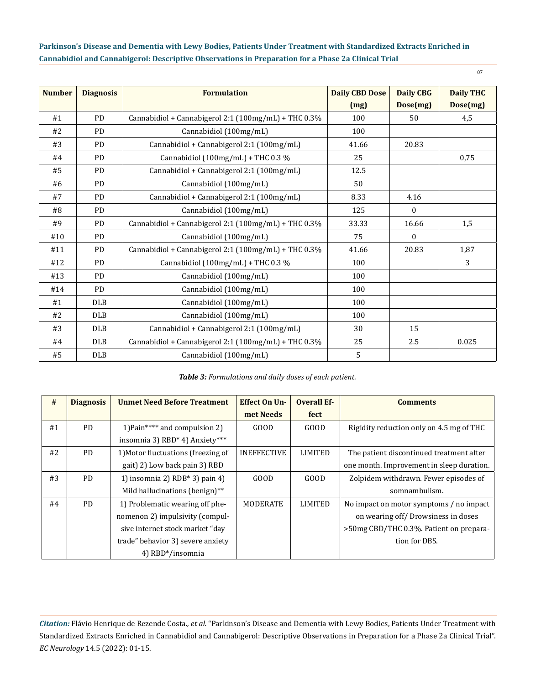| <b>Number</b> | <b>Diagnosis</b> | <b>Formulation</b>                                   | <b>Daily CBD Dose</b> | <b>Daily CBG</b> | <b>Daily THC</b> |
|---------------|------------------|------------------------------------------------------|-----------------------|------------------|------------------|
|               |                  |                                                      | (mg)                  | Dose(mg)         | Dose(mg)         |
| #1            | <b>PD</b>        | Cannabidiol + Cannabigerol 2:1 (100mg/mL) + THC 0.3% | 100                   | 50               | 4,5              |
| #2            | <b>PD</b>        | Cannabidiol (100mg/mL)                               | 100                   |                  |                  |
| #3            | <b>PD</b>        | Cannabidiol + Cannabigerol 2:1 (100mg/mL)            | 41.66                 | 20.83            |                  |
| #4            | <b>PD</b>        | Cannabidiol (100mg/mL) + THC 0.3 %                   | 25                    |                  | 0,75             |
| #5            | <b>PD</b>        | Cannabidiol + Cannabigerol 2:1 (100mg/mL)            | 12.5                  |                  |                  |
| #6            | <b>PD</b>        | Cannabidiol (100mg/mL)                               | 50                    |                  |                  |
| #7            | <b>PD</b>        | Cannabidiol + Cannabigerol 2:1 (100mg/mL)            | 8.33                  | 4.16             |                  |
| #8            | <b>PD</b>        | Cannabidiol (100mg/mL)                               | 125                   | $\mathbf{0}$     |                  |
| #9            | <b>PD</b>        | Cannabidiol + Cannabigerol 2:1 (100mg/mL) + THC 0.3% | 33.33                 | 16.66            | 1,5              |
| #10           | <b>PD</b>        | Cannabidiol (100mg/mL)                               | 75                    | $\Omega$         |                  |
| #11           | <b>PD</b>        | Cannabidiol + Cannabigerol 2:1 (100mg/mL) + THC 0.3% | 41.66                 | 20.83            | 1,87             |
| #12           | <b>PD</b>        | Cannabidiol (100mg/mL) + THC 0.3 %                   | 100                   |                  | 3                |
| #13           | <b>PD</b>        | Cannabidiol (100mg/mL)                               | 100                   |                  |                  |
| #14           | <b>PD</b>        | Cannabidiol (100mg/mL)                               | 100                   |                  |                  |
| #1            | <b>DLB</b>       | Cannabidiol (100mg/mL)                               | 100                   |                  |                  |
| #2            | <b>DLB</b>       | Cannabidiol (100mg/mL)                               | 100                   |                  |                  |
| #3            | <b>DLB</b>       | Cannabidiol + Cannabigerol 2:1 (100mg/mL)            | 30                    | 15               |                  |
| #4            | <b>DLB</b>       | Cannabidiol + Cannabigerol 2:1 (100mg/mL) + THC 0.3% | 25                    | 2.5              | 0.025            |
| #5            | DLB              | Cannabidiol (100mg/mL)                               | 5                     |                  |                  |

*Table 3: Formulations and daily doses of each patient.*

| #  | <b>Diagnosis</b> | <b>Unmet Need Before Treatment</b>                     | <b>Effect On Un-</b> | <b>Overall Ef-</b> | <b>Comments</b>                           |
|----|------------------|--------------------------------------------------------|----------------------|--------------------|-------------------------------------------|
|    |                  |                                                        | met Needs            | fect               |                                           |
| #1 | PD.              | 1) Pain**** and compulsion 2)                          | GOOD                 | GOOD               | Rigidity reduction only on 4.5 mg of THC  |
|    |                  | insomnia 3) RBD <sup>*</sup> 4) Anxiety <sup>***</sup> |                      |                    |                                           |
| #2 | <b>PD</b>        | 1) Motor fluctuations (freezing of                     | <b>INEFFECTIVE</b>   | LIMITED            | The patient discontinued treatment after  |
|    |                  | gait) 2) Low back pain 3) RBD                          |                      |                    | one month. Improvement in sleep duration. |
| #3 | <b>PD</b>        | 1) insomnia 2) $RDB*3$ pain 4)                         | GOOD                 | GOD                | Zolpidem withdrawn. Fewer episodes of     |
|    |                  | Mild hallucinations (benign)**                         |                      |                    | somnambulism.                             |
| #4 | <b>PD</b>        | 1) Problematic wearing off phe-                        | <b>MODERATE</b>      | LIMITED            | No impact on motor symptoms / no impact   |
|    |                  | nomenon 2) impulsivity (compul-                        |                      |                    | on wearing off/Drowsiness in doses        |
|    |                  | sive internet stock market "day                        |                      |                    | >50mg CBD/THC 0.3%. Patient on prepara-   |
|    |                  | trade" behavior 3) severe anxiety                      |                      |                    | tion for DBS.                             |
|    |                  | 4) RBD*/insomnia                                       |                      |                    |                                           |

*Citation:* Flávio Henrique de Rezende Costa*., et al.* "Parkinson's Disease and Dementia with Lewy Bodies, Patients Under Treatment with Standardized Extracts Enriched in Cannabidiol and Cannabigerol: Descriptive Observations in Preparation for a Phase 2a Clinical Trial". *EC Neurology* 14.5 (2022): 01-15.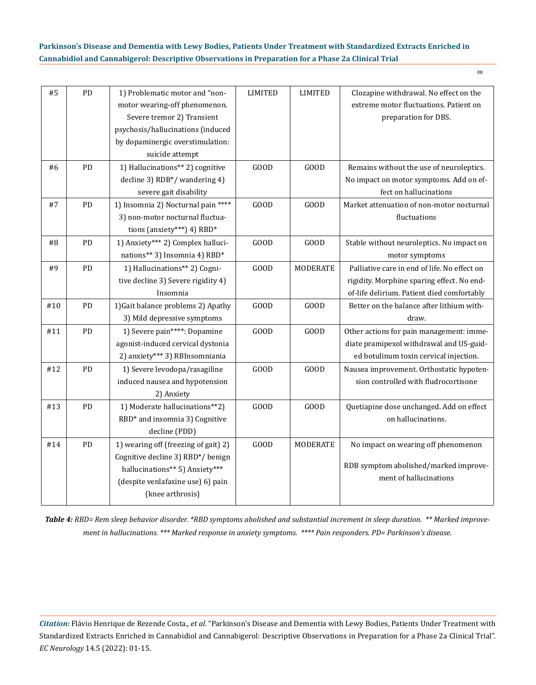| #5  | PD         | 1) Problematic motor and "non-<br>motor wearing-off phenomenon.<br>Severe tremor 2) Transient<br>psychosis/hallucinations (induced<br>by dopaminergic overstimulation:<br>suicide attempt | <b>LIMITED</b> | <b>LIMITED</b>  | Clozapine withdrawal. No effect on the<br>extreme motor fluctuations. Patient on<br>preparation for DBS.                                 |
|-----|------------|-------------------------------------------------------------------------------------------------------------------------------------------------------------------------------------------|----------------|-----------------|------------------------------------------------------------------------------------------------------------------------------------------|
| #6  | PD         | 1) Hallucinations** 2) cognitive<br>decline 3) RDB*/ wandering 4)<br>severe gait disability                                                                                               | GOOD           | GOOD            | Remains without the use of neuroleptics.<br>No impact on motor symptoms. Add on ef-<br>fect on hallucinations                            |
| #7  | ${\rm PD}$ | 1) Insomnia 2) Nocturnal pain ****<br>3) non-motor nocturnal fluctua-<br>tions (anxiety***) 4) RBD*                                                                                       | GOOD           | GOOD            | Market attenuation of non-motor nocturnal<br>fluctuations                                                                                |
| #8  | PD         | 1) Anxiety*** 2) Complex halluci-<br>nations** 3) Insomnia 4) RBD*                                                                                                                        | GOOD           | GOOD            | Stable without neuroleptics. No impact on<br>motor symptoms                                                                              |
| #9  | PD         | 1) Hallucinations** 2) Cogni-<br>tive decline 3) Severe rigidity 4)<br>Insomnia                                                                                                           | GOOD           | <b>MODERATE</b> | Palliative care in end of life. No effect on<br>rigidity. Morphine sparing effect. No end-<br>of-life delirium. Patient died comfortably |
| #10 | PD         | 1) Gait balance problems 2) Apathy<br>3) Mild depressive symptoms                                                                                                                         | GOOD           | GOOD            | Better on the balance after lithium with-<br>draw.                                                                                       |
| #11 | PD         | 1) Severe pain****: Dopamine<br>agonist-induced cervical dystonia<br>2) anxiety*** 3) RBInsomniania                                                                                       | GOOD           | GOOD            | Other actions for pain management: imme-<br>diate pramipexol withdrawal and US-guid-<br>ed botulinum toxin cervical injection.           |
| #12 | PD         | 1) Severe levodopa/rasagiline<br>induced nausea and hypotension<br>2) Anxiety                                                                                                             | GOOD           | GOOD            | Nausea improvement. Orthostatic hypoten-<br>sion controlled with fludrocortisone                                                         |
| #13 | ${\rm PD}$ | 1) Moderate hallucinations**2)<br>RBD* and insomnia 3) Cognitive<br>decline (PDD)                                                                                                         | GOOD           | GOOD            | Quetiapine dose unchanged. Add on effect<br>on hallucinations.                                                                           |
| #14 | PD         | 1) wearing off (freezing of gait) 2)<br>Cognitive decline 3) RBD*/ benign<br>hallucinations** 5) Anxiety***<br>(despite venlafaxine use) 6) pain<br>(knee arthrosis)                      | GOOD           | <b>MODERATE</b> | No impact on wearing off phenomenon<br>RDB symptom abolished/marked improve-<br>ment of hallucinations                                   |

*Table 4: RBD= Rem sleep behavior disorder. \*RBD symptoms abolished and substantial increment in sleep duration. \*\* Marked improvement in hallucinations. \*\*\* Marked response in anxiety symptoms. \*\*\*\* Pain responders. PD= Parkinson's disease.*

*Citation:* Flávio Henrique de Rezende Costa*., et al.* "Parkinson's Disease and Dementia with Lewy Bodies, Patients Under Treatment with Standardized Extracts Enriched in Cannabidiol and Cannabigerol: Descriptive Observations in Preparation for a Phase 2a Clinical Trial". *EC Neurology* 14.5 (2022): 01-15.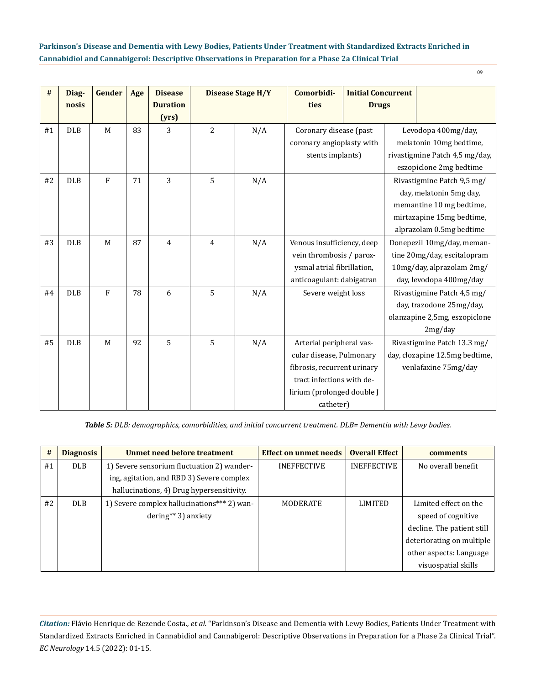| #  | Diag-<br>nosis | Gender         | Age | <b>Disease</b><br><b>Duration</b><br>(yrs) |                | <b>Disease Stage H/Y</b> | Comorbidi-<br>ties                                                                                                                                          | <b>Initial Concurrent</b><br><b>Drugs</b> |                                                                                                                   |                                                                                                                                            |  |
|----|----------------|----------------|-----|--------------------------------------------|----------------|--------------------------|-------------------------------------------------------------------------------------------------------------------------------------------------------------|-------------------------------------------|-------------------------------------------------------------------------------------------------------------------|--------------------------------------------------------------------------------------------------------------------------------------------|--|
| #1 | <b>DLB</b>     | M              | 83  | 3                                          | $\overline{2}$ | N/A                      | Coronary disease (past<br>coronary angioplasty with<br>stents implants)                                                                                     |                                           |                                                                                                                   | Levodopa 400mg/day,<br>melatonin 10mg bedtime,<br>rivastigmine Patch 4,5 mg/day,<br>eszopiclone 2mg bedtime                                |  |
| #2 | <b>DLB</b>     | ${\bf F}$      | 71  | 3                                          | 5              | N/A                      |                                                                                                                                                             |                                           |                                                                                                                   | Rivastigmine Patch 9,5 mg/<br>day, melatonin 5mg day,<br>memantine 10 mg bedtime,<br>mirtazapine 15mg bedtime,<br>alprazolam 0.5mg bedtime |  |
| #3 | <b>DLB</b>     | M              | 87  | $\overline{4}$                             | $\overline{4}$ | N/A                      | Venous insufficiency, deep<br>vein thrombosis / parox-<br>ysmal atrial fibrillation,<br>anticoagulant: dabigatran                                           |                                           | Donepezil 10mg/day, meman-<br>tine 20mg/day, escitalopram<br>10mg/day, alprazolam 2mg/<br>day, levodopa 400mg/day |                                                                                                                                            |  |
| #4 | <b>DLB</b>     | $\overline{F}$ | 78  | 6                                          | 5              | N/A                      | Severe weight loss                                                                                                                                          |                                           |                                                                                                                   | Rivastigmine Patch 4,5 mg/<br>day, trazodone 25mg/day,<br>olanzapine 2,5mg, eszopiclone<br>2mg/day                                         |  |
| #5 | <b>DLB</b>     | M              | 92  | 5                                          | 5              | N/A                      | Arterial peripheral vas-<br>cular disease, Pulmonary<br>fibrosis, recurrent urinary<br>tract infections with de-<br>lirium (prolonged double J<br>catheter) |                                           |                                                                                                                   | Rivastigmine Patch 13.3 mg/<br>day, clozapine 12.5mg bedtime,<br>venlafaxine 75mg/day                                                      |  |

*Table 5: DLB: demographics, comorbidities, and initial concurrent treatment. DLB= Dementia with Lewy bodies.* 

| #  | <b>Diagnosis</b> | <b>Unmet need before treatment</b>          | <b>Effect on unmet needs</b> | <b>Overall Effect</b> | <b>comments</b>            |
|----|------------------|---------------------------------------------|------------------------------|-----------------------|----------------------------|
| #1 | <b>DLB</b>       | 1) Severe sensorium fluctuation 2) wander-  | <b>INEFFECTIVE</b>           | <b>INEFFECTIVE</b>    | No overall benefit         |
|    |                  | ing, agitation, and RBD 3) Severe complex   |                              |                       |                            |
|    |                  | hallucinations, 4) Drug hypersensitivity.   |                              |                       |                            |
| #2 | <b>DLB</b>       | 1) Severe complex hallucinations*** 2) wan- | MODERATE                     | <b>LIMITED</b>        | Limited effect on the      |
|    |                  | $dering**3)$ anxiety                        |                              |                       | speed of cognitive         |
|    |                  |                                             |                              |                       | decline. The patient still |
|    |                  |                                             |                              |                       | deteriorating on multiple  |
|    |                  |                                             |                              |                       | other aspects: Language    |
|    |                  |                                             |                              |                       | visuospatial skills        |

*Citation:* Flávio Henrique de Rezende Costa*., et al.* "Parkinson's Disease and Dementia with Lewy Bodies, Patients Under Treatment with Standardized Extracts Enriched in Cannabidiol and Cannabigerol: Descriptive Observations in Preparation for a Phase 2a Clinical Trial". *EC Neurology* 14.5 (2022): 01-15.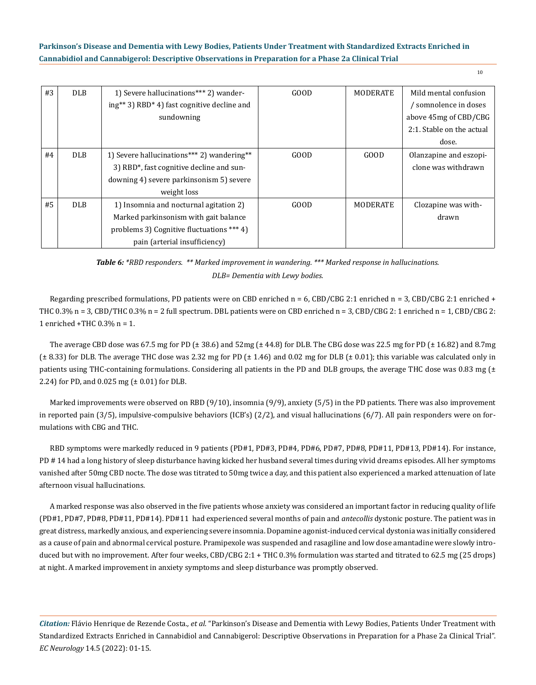| #3 | <b>DLB</b> |                                             | GOOD | MODERATE        | Mild mental confusion     |
|----|------------|---------------------------------------------|------|-----------------|---------------------------|
|    |            | 1) Severe hallucinations*** 2) wander-      |      |                 |                           |
|    |            | ing** 3) RBD* 4) fast cognitive decline and |      |                 | somnolence in doses /     |
|    |            | sundowning                                  |      |                 | above 45mg of CBD/CBG     |
|    |            |                                             |      |                 | 2:1. Stable on the actual |
|    |            |                                             |      |                 | dose.                     |
| #4 | <b>DLB</b> | 1) Severe hallucinations*** 2) wandering**  | GOOD | GOOD            | Olanzapine and eszopi-    |
|    |            | 3) RBD*, fast cognitive decline and sun-    |      |                 | clone was withdrawn       |
|    |            | downing 4) severe parkinsonism 5) severe    |      |                 |                           |
|    |            | weight loss                                 |      |                 |                           |
| #5 | <b>DLB</b> | 1) Insomnia and nocturnal agitation 2)      | GOOD | <b>MODERATE</b> | Clozapine was with-       |
|    |            | Marked parkinsonism with gait balance       |      |                 | drawn                     |
|    |            | problems 3) Cognitive fluctuations *** 4)   |      |                 |                           |
|    |            | pain (arterial insufficiency)               |      |                 |                           |

*Table 6: \*RBD responders. \*\* Marked improvement in wandering. \*\*\* Marked response in hallucinations. DLB= Dementia with Lewy bodies.*

Regarding prescribed formulations, PD patients were on CBD enriched  $n = 6$ , CBD/CBG 2:1 enriched  $n = 3$ , CBD/CBG 2:1 enriched + THC 0.3% n = 3, CBD/THC 0.3% n = 2 full spectrum. DBL patients were on CBD enriched n = 3, CBD/CBG 2: 1 enriched n = 1, CBD/CBG 2: 1 enriched +THC 0.3% n = 1.

The average CBD dose was 67.5 mg for PD ( $\pm$  38.6) and 52mg ( $\pm$  44.8) for DLB. The CBG dose was 22.5 mg for PD ( $\pm$  16.82) and 8.7mg  $(± 8.33)$  for DLB. The average THC dose was 2.32 mg for PD  $(± 1.46)$  and 0.02 mg for DLB  $(± 0.01)$ ; this variable was calculated only in patients using THC-containing formulations. Considering all patients in the PD and DLB groups, the average THC dose was 0.83 mg  $(±)$ 2.24) for PD, and  $0.025$  mg ( $\pm 0.01$ ) for DLB.

Marked improvements were observed on RBD (9/10), insomnia (9/9), anxiety (5/5) in the PD patients. There was also improvement in reported pain (3/5), impulsive-compulsive behaviors (ICB's) (2/2), and visual hallucinations (6/7). All pain responders were on formulations with CBG and THC.

RBD symptoms were markedly reduced in 9 patients (PD#1, PD#3, PD#4, PD#6, PD#7, PD#8, PD#11, PD#13, PD#14). For instance, PD # 14 had a long history of sleep disturbance having kicked her husband several times during vivid dreams episodes. All her symptoms vanished after 50mg CBD nocte. The dose was titrated to 50mg twice a day, and this patient also experienced a marked attenuation of late afternoon visual hallucinations.

A marked response was also observed in the five patients whose anxiety was considered an important factor in reducing quality of life (PD#1, PD#7, PD#8, PD#11, PD#14). PD#11 had experienced several months of pain and *antecollis* dystonic posture. The patient was in great distress, markedly anxious, and experiencing severe insomnia. Dopamine agonist-induced cervical dystonia was initially considered as a cause of pain and abnormal cervical posture. Pramipexole was suspended and rasagiline and low dose amantadine were slowly introduced but with no improvement. After four weeks, CBD/CBG 2:1 + THC 0.3% formulation was started and titrated to 62.5 mg (25 drops) at night. A marked improvement in anxiety symptoms and sleep disturbance was promptly observed.

*Citation:* Flávio Henrique de Rezende Costa*., et al.* "Parkinson's Disease and Dementia with Lewy Bodies, Patients Under Treatment with Standardized Extracts Enriched in Cannabidiol and Cannabigerol: Descriptive Observations in Preparation for a Phase 2a Clinical Trial". *EC Neurology* 14.5 (2022): 01-15.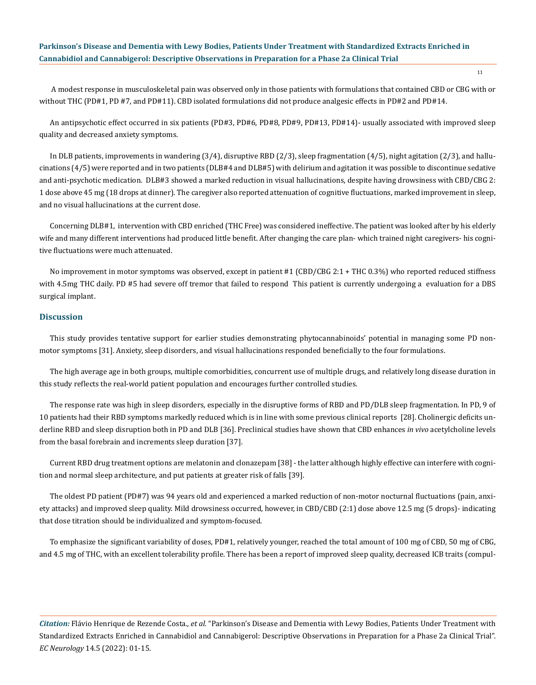A modest response in musculoskeletal pain was observed only in those patients with formulations that contained CBD or CBG with or without THC (PD#1, PD #7, and PD#11). CBD isolated formulations did not produce analgesic effects in PD#2 and PD#14.

An antipsychotic effect occurred in six patients (PD#3, PD#6, PD#8, PD#9, PD#13, PD#14)- usually associated with improved sleep quality and decreased anxiety symptoms.

In DLB patients, improvements in wandering (3/4), disruptive RBD (2/3), sleep fragmentation (4/5), night agitation (2/3), and hallucinations (4/5) were reported and in two patients (DLB#4 and DLB#5) with delirium and agitation it was possible to discontinue sedative and anti-psychotic medication. DLB#3 showed a marked reduction in visual hallucinations, despite having drowsiness with CBD/CBG 2: 1 dose above 45 mg (18 drops at dinner). The caregiver also reported attenuation of cognitive fluctuations, marked improvement in sleep, and no visual hallucinations at the current dose.

Concerning DLB#1, intervention with CBD enriched (THC Free) was considered ineffective. The patient was looked after by his elderly wife and many different interventions had produced little benefit. After changing the care plan- which trained night caregivers- his cognitive fluctuations were much attenuated.

No improvement in motor symptoms was observed, except in patient #1 (CBD/CBG 2:1 + THC 0.3%) who reported reduced stiffness with 4.5mg THC daily. PD #5 had severe off tremor that failed to respond This patient is currently undergoing a evaluation for a DBS surgical implant.

#### **Discussion**

This study provides tentative support for earlier studies demonstrating phytocannabinoids' potential in managing some PD nonmotor symptoms [31]. Anxiety, sleep disorders, and visual hallucinations responded beneficially to the four formulations.

The high average age in both groups, multiple comorbidities, concurrent use of multiple drugs, and relatively long disease duration in this study reflects the real-world patient population and encourages further controlled studies.

The response rate was high in sleep disorders, especially in the disruptive forms of RBD and PD/DLB sleep fragmentation. In PD, 9 of 10 patients had their RBD symptoms markedly reduced which is in line with some previous clinical reports [28]. Cholinergic deficits underline RBD and sleep disruption both in PD and DLB [36]. Preclinical studies have shown that CBD enhances *in vivo* acetylcholine levels from the basal forebrain and increments sleep duration [37].

Current RBD drug treatment options are melatonin and clonazepam [38] - the latter although highly effective can interfere with cognition and normal sleep architecture, and put patients at greater risk of falls [39].

The oldest PD patient (PD#7) was 94 years old and experienced a marked reduction of non-motor nocturnal fluctuations (pain, anxiety attacks) and improved sleep quality. Mild drowsiness occurred, however, in CBD/CBD (2:1) dose above 12.5 mg (5 drops)- indicating that dose titration should be individualized and symptom-focused.

To emphasize the significant variability of doses, PD#1, relatively younger, reached the total amount of 100 mg of CBD, 50 mg of CBG, and 4.5 mg of THC, with an excellent tolerability profile. There has been a report of improved sleep quality, decreased ICB traits (compul-

*Citation:* Flávio Henrique de Rezende Costa*., et al.* "Parkinson's Disease and Dementia with Lewy Bodies, Patients Under Treatment with Standardized Extracts Enriched in Cannabidiol and Cannabigerol: Descriptive Observations in Preparation for a Phase 2a Clinical Trial". *EC Neurology* 14.5 (2022): 01-15.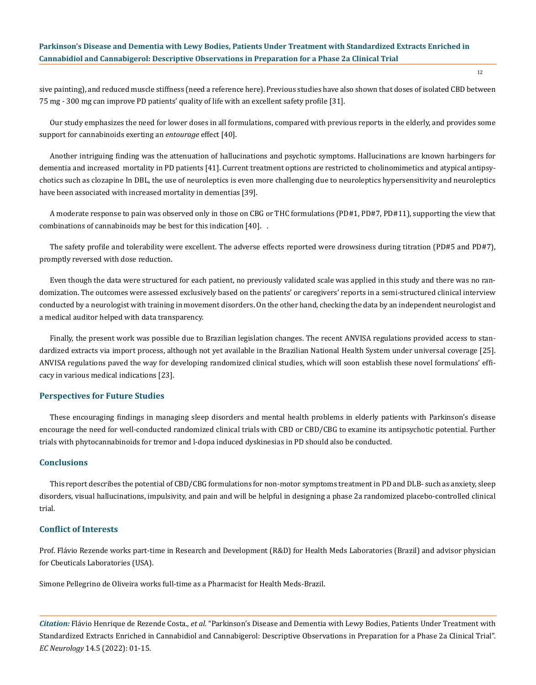sive painting), and reduced muscle stiffness (need a reference here). Previous studies have also shown that doses of isolated CBD between 75 mg - 300 mg can improve PD patients' quality of life with an excellent safety profile [31].

Our study emphasizes the need for lower doses in all formulations, compared with previous reports in the elderly, and provides some support for cannabinoids exerting an *entourage* effect [40].

Another intriguing finding was the attenuation of hallucinations and psychotic symptoms. Hallucinations are known harbingers for dementia and increased mortality in PD patients [41]. Current treatment options are restricted to cholinomimetics and atypical antipsychotics such as clozapine In DBL, the use of neuroleptics is even more challenging due to neuroleptics hypersensitivity and neuroleptics have been associated with increased mortality in dementias [39].

A moderate response to pain was observed only in those on CBG or THC formulations (PD#1, PD#7, PD#11), supporting the view that combinations of cannabinoids may be best for this indication [40]. .

The safety profile and tolerability were excellent. The adverse effects reported were drowsiness during titration (PD#5 and PD#7), promptly reversed with dose reduction.

Even though the data were structured for each patient, no previously validated scale was applied in this study and there was no randomization. The outcomes were assessed exclusively based on the patients' or caregivers' reports in a semi-structured clinical interview conducted by a neurologist with training in movement disorders. On the other hand, checking the data by an independent neurologist and a medical auditor helped with data transparency.

Finally, the present work was possible due to Brazilian legislation changes. The recent ANVISA regulations provided access to standardized extracts via import process, although not yet available in the Brazilian National Health System under universal coverage [25]. ANVISA regulations paved the way for developing randomized clinical studies, which will soon establish these novel formulations' efficacy in various medical indications [23].

#### **Perspectives for Future Studies**

These encouraging findings in managing sleep disorders and mental health problems in elderly patients with Parkinson's disease encourage the need for well-conducted randomized clinical trials with CBD or CBD/CBG to examine its antipsychotic potential. Further trials with phytocannabinoids for tremor and l-dopa induced dyskinesias in PD should also be conducted.

## **Conclusions**

This report describes the potential of CBD/CBG formulations for non-motor symptoms treatment in PD and DLB- such as anxiety, sleep disorders, visual hallucinations, impulsivity, and pain and will be helpful in designing a phase 2a randomized placebo-controlled clinical trial.

## **Conflict of Interests**

Prof. Flávio Rezende works part-time in Research and Development (R&D) for Health Meds Laboratories (Brazil) and advisor physician for Cbeuticals Laboratories (USA).

Simone Pellegrino de Oliveira works full-time as a Pharmacist for Health Meds-Brazil.

*Citation:* Flávio Henrique de Rezende Costa*., et al.* "Parkinson's Disease and Dementia with Lewy Bodies, Patients Under Treatment with Standardized Extracts Enriched in Cannabidiol and Cannabigerol: Descriptive Observations in Preparation for a Phase 2a Clinical Trial". *EC Neurology* 14.5 (2022): 01-15.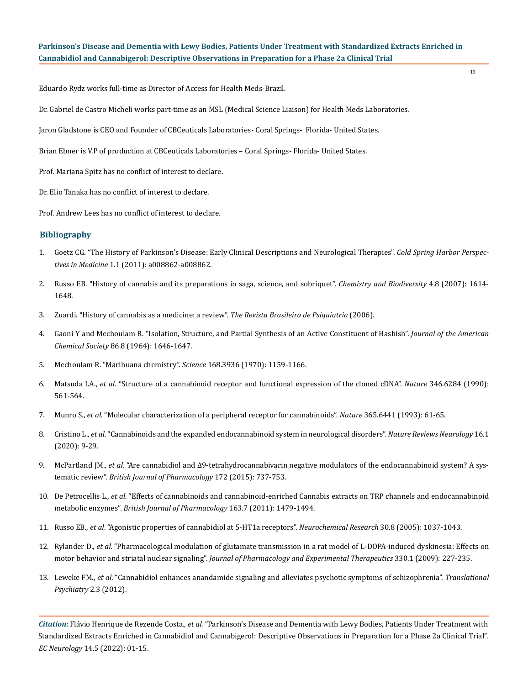Eduardo Rydz works full-time as Director of Access for Health Meds-Brazil.

Dr. Gabriel de Castro Micheli works part-time as an MSL (Medical Science Liaison) for Health Meds Laboratories.

Jaron Gladstone is CEO and Founder of CBCeuticals Laboratories- Coral Springs- Florida- United States.

Brian Ebner is V.P of production at CBCeuticals Laboratories – Coral Springs- Florida- United States.

Prof. Mariana Spitz has no conflict of interest to declare.

Dr. Elio Tanaka has no conflict of interest to declare.

Prof. Andrew Lees has no conflict of interest to declare.

## **Bibliography**

- 1. [Goetz CG. "The History of Parkinson's Disease: Early Clinical Descriptions and Neurological Therapies".](https://www.ncbi.nlm.nih.gov/pmc/articles/PMC3234454/) *Cold Spring Harbor Perspectives in Medicine* [1.1 \(2011\): a008862-a008862.](https://www.ncbi.nlm.nih.gov/pmc/articles/PMC3234454/)
- 2. [Russo EB. "History of cannabis and its preparations in saga, science, and sobriquet".](https://pubmed.ncbi.nlm.nih.gov/17712811/) *Chemistry and Biodiversity* 4.8 (2007): 1614- [1648.](https://pubmed.ncbi.nlm.nih.gov/17712811/)
- 3. [Zuardi. "History of cannabis as a medicine: a review".](https://pubmed.ncbi.nlm.nih.gov/16810401/) *The Revista Brasileira de Psiquiatria* (2006).
- 4. [Gaoni Y and Mechoulam R. "Isolation, Structure, and Partial Synthesis of an Active Constituent of Hashish".](https://pubs.acs.org/doi/10.1021/ja01062a046) *Journal of the American Chemical Society* [86.8 \(1964\): 1646-1647.](https://pubs.acs.org/doi/10.1021/ja01062a046)
- 5. [Mechoulam R. "Marihuana chemistry".](https://pubmed.ncbi.nlm.nih.gov/4910003/) *Science* 168.3936 (1970): 1159-1166.
- 6. Matsuda LA., *et al*[. "Structure of a cannabinoid receptor and functional expression of the cloned cDNA".](https://pubmed.ncbi.nlm.nih.gov/2165569/) *Nature* 346.6284 (1990): [561-564.](https://pubmed.ncbi.nlm.nih.gov/2165569/)
- 7. Munro S., *et al*[. "Molecular characterization of a peripheral receptor for cannabinoids".](https://pubmed.ncbi.nlm.nih.gov/7689702/) *Nature* 365.6441 (1993): 61-65.
- 8. Cristino L., *et al*[. "Cannabinoids and the expanded endocannabinoid system in neurological disorders".](https://pubmed.ncbi.nlm.nih.gov/31831863/) *Nature Reviews Neurology* 16.1 [\(2020\): 9-29.](https://pubmed.ncbi.nlm.nih.gov/31831863/)
- 9. McPartland JM., *et al*[. "Are cannabidiol and Δ9-tetrahydrocannabivarin negative modulators of the endocannabinoid system? A sys](https://pubmed.ncbi.nlm.nih.gov/25257544/)tematic review". *[British Journal of Pharmacology](https://pubmed.ncbi.nlm.nih.gov/25257544/)* 172 (2015): 737-753.
- 10. De Petrocellis L., *et al*[. "Effects of cannabinoids and cannabinoid-enriched Cannabis extracts on TRP channels and endocannabinoid](https://pubmed.ncbi.nlm.nih.gov/21175579/)  metabolic enzymes". *[British Journal of Pharmacology](https://pubmed.ncbi.nlm.nih.gov/21175579/)* 163.7 (2011): 1479-1494.
- 11. Russo EB., *et al*[. "Agonistic properties of cannabidiol at 5-HT1a receptors".](https://pubmed.ncbi.nlm.nih.gov/16258853/) *Neurochemical Research* 30.8 (2005): 1037-1043.
- 12. Rylander D., *et al*[. "Pharmacological modulation of glutamate transmission in a rat model of L-DOPA-induced dyskinesia: Effects on](https://www.ncbi.nlm.nih.gov/pmc/articles/PMC2700169/)  motor behavior and striatal nuclear signaling". *[Journal of Pharmacology and Experimental Therapeutics](https://www.ncbi.nlm.nih.gov/pmc/articles/PMC2700169/)* 330.1 (2009): 227-235.
- 13. Leweke FM., *et al*[. "Cannabidiol enhances anandamide signaling and alleviates psychotic symptoms of schizophrenia".](https://pubmed.ncbi.nlm.nih.gov/22832859/) *Translational [Psychiatry](https://pubmed.ncbi.nlm.nih.gov/22832859/)* 2.3 (2012).

*Citation:* Flávio Henrique de Rezende Costa*., et al.* "Parkinson's Disease and Dementia with Lewy Bodies, Patients Under Treatment with Standardized Extracts Enriched in Cannabidiol and Cannabigerol: Descriptive Observations in Preparation for a Phase 2a Clinical Trial". *EC Neurology* 14.5 (2022): 01-15.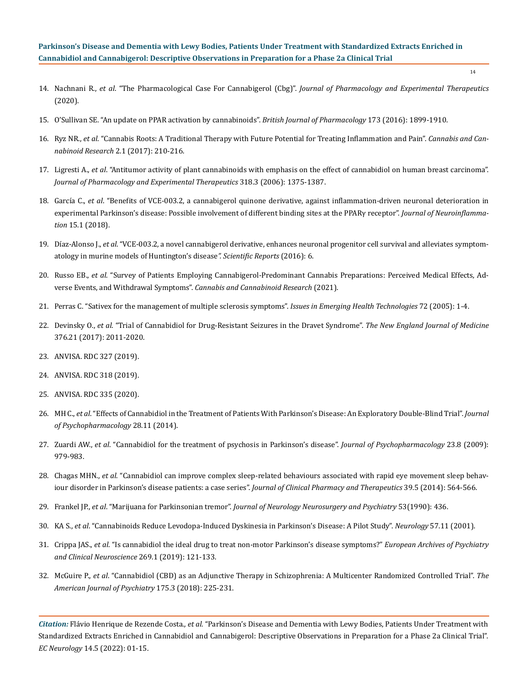- 14. Nachnani R., *et al*. "The Pharmacological Case For Cannabigerol (Cbg)". *[Journal of Pharmacology and Experimental Therapeutics](https://pubmed.ncbi.nlm.nih.gov/33168643/)* [\(2020\).](https://pubmed.ncbi.nlm.nih.gov/33168643/)
- 15. [O'Sullivan SE. "An update on PPAR activation by cannabinoids".](https://www.ncbi.nlm.nih.gov/pmc/articles/PMC4882496/) *British Journal of Pharmacology* 173 (2016): 1899-1910.
- 16. Ryz NR., *et al*[. "Cannabis Roots: A Traditional Therapy with Future Potential for Treating Inflammation and Pain".](https://www.ncbi.nlm.nih.gov/pmc/articles/PMC5628559/) *Cannabis and Can[nabinoid Research](https://www.ncbi.nlm.nih.gov/pmc/articles/PMC5628559/)* 2.1 (2017): 210-216.
- 17. Ligresti A., *et al*[. "Antitumor activity of plant cannabinoids with emphasis on the effect of cannabidiol on human breast carcinoma".](https://pubmed.ncbi.nlm.nih.gov/16728591/)  *[Journal of Pharmacology and Experimental Therapeutics](https://pubmed.ncbi.nlm.nih.gov/16728591/)* 318.3 (2006): 1375-1387.
- 18. García C., *et al*[. "Benefits of VCE-003.2, a cannabigerol quinone derivative, against inflammation-driven neuronal deterioration in](https://pubmed.ncbi.nlm.nih.gov/29338785/)  [experimental Parkinson's disease: Possible involvement of different binding sites at the PPARγ receptor".](https://pubmed.ncbi.nlm.nih.gov/29338785/) *Journal of Neuroinflammation* [15.1 \(2018\).](https://pubmed.ncbi.nlm.nih.gov/29338785/)
- 19. Díaz-Alonso J., *et al*[. "VCE-003.2, a novel cannabigerol derivative, enhances neuronal progenitor cell survival and alleviates symptom](https://pubmed.ncbi.nlm.nih.gov/27430371/)[atology in murine models of Huntington's disease](https://pubmed.ncbi.nlm.nih.gov/27430371/)*". Scientific Reports* (2016): 6.
- 20. Russo EB., *et al*[. "Survey of Patients Employing Cannabigerol-Predominant Cannabis Preparations: Perceived Medical Effects, Ad](https://www.liebertpub.com/doi/10.1089/can.2021.0058)verse Events, and Withdrawal Symptoms". *[Cannabis and Cannabinoid Research](https://www.liebertpub.com/doi/10.1089/can.2021.0058)* (2021).
- 21. [Perras C. "Sativex for the management of multiple sclerosis symptoms".](https://pubmed.ncbi.nlm.nih.gov/16317825/) *Issues in Emerging Health Technologies* 72 (2005): 1-4.
- 22. Devinsky O., *et al*[. "Trial of Cannabidiol for Drug-Resistant Seizures in the Dravet Syndrome".](https://pubmed.ncbi.nlm.nih.gov/28538134/) *The New England Journal of Medicine* [376.21 \(2017\): 2011-2020.](https://pubmed.ncbi.nlm.nih.gov/28538134/)
- 23. ANVISA. RDC 327 (2019).
- 24. ANVISA. RDC 318 (2019).
- 25. ANVISA. RDC 335 (2020).
- 26. MH C., *et al*[. "Effects of Cannabidiol in the Treatment of Patients With Parkinson's Disease: An Exploratory Double-Blind Trial".](https://pubmed.ncbi.nlm.nih.gov/25237116/) *Journal [of Psychopharmacology](https://pubmed.ncbi.nlm.nih.gov/25237116/)* 28.11 (2014).
- 27. Zuardi AW., *et al*[. "Cannabidiol for the treatment of psychosis in Parkinson's disease".](https://pubmed.ncbi.nlm.nih.gov/18801821/) *Journal of Psychopharmacology* 23.8 (2009): [979-983.](https://pubmed.ncbi.nlm.nih.gov/18801821/)
- 28. Chagas MHN., *et al*[. "Cannabidiol can improve complex sleep-related behaviours associated with rapid eye movement sleep behav](https://pubmed.ncbi.nlm.nih.gov/24845114/)[iour disorder in Parkinson's disease patients: a case series".](https://pubmed.ncbi.nlm.nih.gov/24845114/) *Journal of Clinical Pharmacy and Therapeutics* 39.5 (2014): 564-566.
- 29. Frankel JP., *et al*. "Marijuana for Parkinsonian tremor". *[Journal of Neurology Neurosurgery and Psychiatry](https://www.ncbi.nlm.nih.gov/pmc/articles/PMC6450681/)* 53(1990): 436.
- 30. KA S., *et al*[. "Cannabinoids Reduce Levodopa-Induced Dyskinesia in Parkinson's Disease: A Pilot Study".](https://pubmed.ncbi.nlm.nih.gov/11739835/) *Neurology* 57.11 (2001).
- 31. Crippa JAS., *et al*[. "Is cannabidiol the ideal drug to treat non-motor Parkinson's disease symptoms?"](https://pubmed.ncbi.nlm.nih.gov/30706171/) *European Archives of Psychiatry [and Clinical Neuroscience](https://pubmed.ncbi.nlm.nih.gov/30706171/)* 269.1 (2019): 121-133.
- 32. McGuire P., *et al*[. "Cannabidiol \(CBD\) as an Adjunctive Therapy in Schizophrenia: A Multicenter Randomized Controlled Trial".](https://pubmed.ncbi.nlm.nih.gov/29241357/) *The [American Journal of Psychiatry](https://pubmed.ncbi.nlm.nih.gov/29241357/)* 175.3 (2018): 225-231.

*Citation:* Flávio Henrique de Rezende Costa*., et al.* "Parkinson's Disease and Dementia with Lewy Bodies, Patients Under Treatment with Standardized Extracts Enriched in Cannabidiol and Cannabigerol: Descriptive Observations in Preparation for a Phase 2a Clinical Trial". *EC Neurology* 14.5 (2022): 01-15.